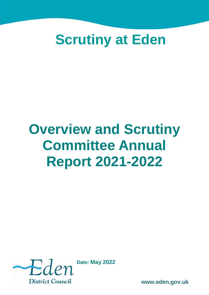## **Scrutiny at Eden**

# **Overview and Scrutiny Committee Annual Report 2021-2022**



**Date: May 2022**

**www.eden.gov.uk**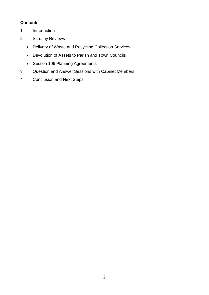#### **Contents**

- 1 Introduction
- 2 Scrutiny Reviews
	- Delivery of Waste and Recycling Collection Services
	- Devolution of Assets to Parish and Town Councils
	- Section 106 Planning Agreements
- 3 Question and Answer Sessions with Cabinet Members
- 4 Conclusion and Next Steps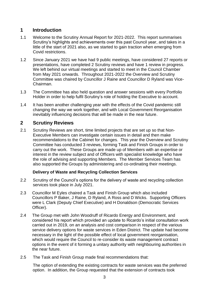## **1 Introduction**

- 1.1 Welcome to the Scrutiny Annual Report for 2021-2022. This report summarises Scrutiny's highlights and achievements over this past Council year, and takes in a little of the start of 2021 also, as we started to gain traction when emerging from Covid restrictions.
- 1.2 Since January 2021 we have had 9 public meetings, have considered 27 reports or presentations, have completed 2 Scrutiny reviews and have 1 review in progress. We left behind our virtual meetings and started to meet in the Council Chamber from May 2021 onwards. Throughout 2021-2022 the Overview and Scrutiny Committee was chaired by Councillor J Raine and Councillor D Ryland was Vice-Chairman.
- 1.3 The Committee has also held question and answer sessions with every Portfolio Holder in order to help fulfil Scrutiny's role of holding the Executive to account.
- 1.4 It has been another challenging year with the effects of the Covid pandemic still changing the way we work together, and with Local Government Reorganisation inevitably influencing decisions that will be made in the near future.

#### **2 Scrutiny Reviews**

2.1 Scrutiny Reviews are short, time limited projects that are set up so that Non-Executive Members can investigate certain issues in detail and then make recommendations to the Cabinet for changes. This year the Overview and Scrutiny Committee has conducted 3 reviews, forming Task and Finish Groups in order to carry out the work. These Groups are made up of Members with an expertise or interest in the review subject and of Officers with specialist knowledge who have the role of advising and supporting Members. The Member Services Team has also supported the Groups by administering and co-ordinating their meetings.

#### **Delivery of Waste and Recycling Collection Services**

- 2.2 Scrutiny of the Council's options for the delivery of waste and recycling collection services took place in July 2021.
- 2.3 Councillor M Eyles chaired a Task and Finish Group which also included Councillors P Baker, J Raine, D Ryland, A Ross and D Wicks. Supporting Officers were L Clark (Deputy Chief Executive) and H Donaldson (Democratic Services Officer).
- 2.4 The Group met with John Woodruff of Ricardo Energy and Environment, and considered his report which provided an update to Ricardo's initial consultation work carried out in 2019, on an analysis and cost comparison in respect of the various service delivery options for waste services in Eden District. The update had become necessary in the light of the possible effect of local government reorganisation, which would require the Council to re-consider its waste management contract options in the event of it forming a unitary authority with neighbouring authorities in the near future.
- 2.5 The Task and Finish Group made final recommendations that:

The option of extending the existing contracts for waste services was the preferred option. In addition, the Group requested that the extension of contracts took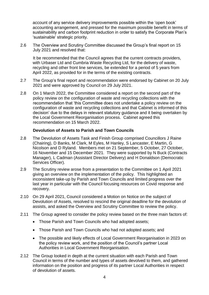account of any service delivery improvements possible within the 'open book' accounting arrangement, and pressed for the maximum possible benefit in terms of sustainability and carbon footprint reduction in order to satisfy the Corporate Plan's 'sustainable' strategic priority.

2.6 The Overview and Scrutiny Committee discussed the Group's final report on 15 July 2021 and resolved that:

It be recommended that the Council agrees that the current contracts providers, with Urbaser Ltd and Cumbria Waste Recycling Ltd, for the delivery of waste, recycling and other front line services, be extended for a period of 5 years from April 2022, as provided for in the terms of the existing contracts.

- 2.7 The Group's final report and recommendation were endorsed by Cabinet on 20 July 2021 and were approved by Council on 29 July 2021.
- 2.8 On 1 March 2022, the Committee considered a report on the second part of the policy review on the configuration of waste and recycling collections with the recommendation that 'this Committee does not undertake a policy review on the configuration of waste and recycling collections and that Cabinet is informed of this decision' due to the delays in relevant statutory guidance and it being overtaken by the Local Government Reorganisation process. Cabinet agreed this recommendation on 15 March 2022.

#### **Devolution of Assets to Parish and Town Councils**

- 2.8 The Devolution of Assets Task and Finish Group comprised Councillors J Raine (Chairing), D Banks, M Clark, M Eyles, M Hanley, S Lancaster, E Martin, G Nicolson and D Ryland. Members met on 21 September, 5 October, 27 October, 16 November and 15 December 2021. They were supported by N Buck (Contracts Manager), L Cadman (Assistant Director Delivery) and H Donaldson (Democratic Services Officer).
- 2.9 The Scrutiny review arose from a presentation to the Committee on 1 April 2021 giving an overview on the implementation of the policy. This highlighted an inconsistent take-up by Parish and Town Councils and limited progress over the last year in particular with the Council focusing resources on Covid response and recovery.
- 2.10 On 29 April 2021, Council considered a Motion on Notice on the subject of Devolution of Assets, resolved to rescind the original deadline for the devolution of assists, and asked the Overview and Scrutiny Committee to review the policy.
- 2.11 The Group agreed to consider the policy review based on the three main factors of:
	- Those Parish and Town Councils who had adopted assets:
	- Those Parish and Town Councils who had not adopted assets; and
	- The possible and likely effects of Local Government Reorganisation in 2023 on the policy review work, and the position of the Council's partner Local Authorities in Local Government Reorganisation.
- 2.12 The Group looked in depth at the current situation with each Parish and Town Council in terms of the number and types of assets devolved to them, and gathered information on the position and progress of its partner Local Authorities in respect of devolution of assets.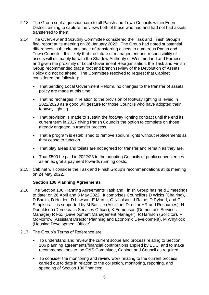- 2.13 The Group sent a questionnaire to all Parish and Town Councils within Eden District, aiming to capture the views both of those who had and had not had assets transferred to them.
- 2.14 The Overview and Scrutiny Committee considered the Task and Finish Group's final report at its meeting on 26 January 2022. The Group had noted substantial differences in the circumstance of transferring assets to numerous Parish and Town Councils. It is likely that the future of management and responsibility of assets will ultimately lie with the Shadow Authority of Westmorland and Furness, and given the proximity of Local Government Reorganisation, the Task and Finish Group recommended that a root and branch review of the Devolution of Assets Policy did not go ahead. The Committee resolved to request that Cabinet considered the following:
	- That pending Local Government Reform, no changes to the transfer of assets policy are made at this time.
	- That no recharges in relation to the provision of footway lighting is levied in 2022/2023 as a good will gesture for those Councils who have adopted their footway lighting.
	- That provision is made to sustain the footway lighting contract until the end its current term in 2027 giving Parish Councils the option to complete on those already engaged in transfer process.
	- That a program is established to remove sodium lights without replacements as they cease to function.
	- That play areas and toilets are not agreed for transfer and remain as they are.
	- That £500 be paid in 2022/23 to the adopting Councils of public conveniences as an ex gratia payment towards running costs.
- 2.15 Cabinet will consider the Task and Finish Group's recommendations at its meeting on 24 May 2022.

#### **Section 106 Planning Agreements**

- 2.16 The Section 106 Planning Agreements Task and Finish Group has held 2 meetings to date: on 26 April and 3 May 2022. It comprises Councillors D Wicks (Chairing), D Banks, D Holden, D Lawson, E Martin, G Nicolson, J Raine, D Ryland, and G Simpkins. It is supported by M Bastille (Assistant Director HR and Resources), H Donaldson (Democratic Services Officer), K Edmonson (Democratic Services Manager) R Fox (Development Management Manager), R Harrison (Solicitor), F McMorrow (Assistant Director Planning and Economic Development), M Whytlock (Housing Development Officer).
- 2.17 The Group's Terms of Reference are:
	- To understand and review the current scope and process relating to Section 106 planning agreements/financial contributions applied by EDC, and to make recommendations to the O&S Committee, Cabinet and Council as required.
	- To consider the monitoring and review work relating to the current process carried out to date in relation to the collection, monitoring, reporting, and spending of Section 106 finances;